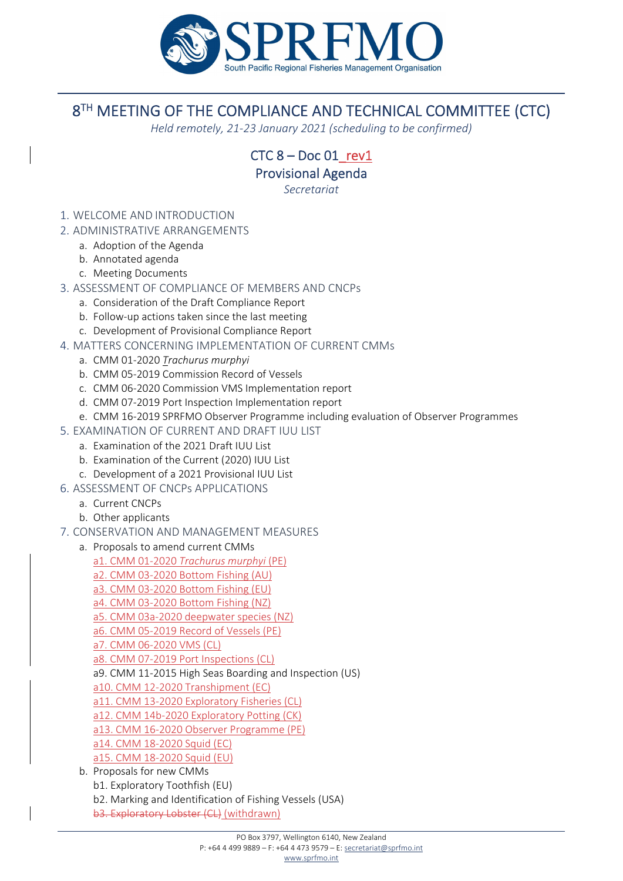

## 8<sup>TH</sup> MEETING OF THE COMPLIANCE AND TECHNICAL COMMITTEE (CTC)

*Held remotely, 21‐23 January 2021 (scheduling to be confirmed)*

 $CTC 8 - Doc 01$  rev1

Provisional Agenda

*Secretariat*

- 1. WELCOME AND INTRODUCTION
- 2. ADMINISTRATIVE ARRANGEMENTS
	- a. Adoption of the Agenda
	- b. Annotated agenda
	- c. Meeting Documents
- 3. ASSESSMENT OF COMPLIANCE OF MEMBERS AND CNCPs
	- a. Consideration of the Draft Compliance Report
	- b. Follow‐up actions taken since the last meeting
	- c. Development of Provisional Compliance Report
- 4. MATTERS CONCERNING IMPLEMENTATION OF CURRENT CMMs
	- a. CMM 01‐2020 *Trachurus murphyi*
	- b. CMM 05‐2019 Commission Record of Vessels
	- c. CMM 06‐2020 Commission VMS Implementation report
	- d. CMM 07‐2019 Port Inspection Implementation report
	- e. CMM 16‐2019 SPRFMO Observer Programme including evaluation of Observer Programmes
- 5. EXAMINATION OF CURRENT AND DRAFT IUU LIST
	- a. Examination of the 2021 Draft IUU List
	- b. Examination of the Current (2020) IUU List
	- c. Development of a 2021 Provisional IUU List
- 6. ASSESSMENT OF CNCPs APPLICATIONS
	- a. Current CNCPs
	- b. Other applicants
- 7. CONSERVATION AND MANAGEMENT MEASURES
	- a. Proposals to amend current CMMs
		- a1. CMM 01‐2020 *Trachurus murphyi* (PE)
		- a2. CMM 03‐2020 Bottom Fishing (AU)
		- a3. CMM 03‐2020 Bottom Fishing (EU)
		- a4. CMM 03‐2020 Bottom Fishing (NZ)
		- a5. CMM 03a‐2020 deepwater species (NZ)
		- a6. CMM 05‐2019 Record of Vessels (PE)
		- a7. CMM 06‐2020 VMS (CL)
		- a8. CMM 07‐2019 Port Inspections (CL)
		- a9. CMM 11‐2015 High Seas Boarding and Inspection (US)
		- a10. CMM 12‐2020 Transhipment (EC)
		- a11. CMM 13‐2020 Exploratory Fisheries (CL)
		- a12. CMM 14b‐2020 Exploratory Potting (CK)
		- a13. CMM 16‐2020 Observer Programme (PE)
		- a14. CMM 18‐2020 Squid (EC)
		- a15. CMM 18‐2020 Squid (EU)
	- b. Proposals for new CMMs b1. Exploratory Toothfish (EU) b2. Marking and Identification of Fishing Vessels (USA) b3. Exploratory Lobster (CL) (withdrawn)